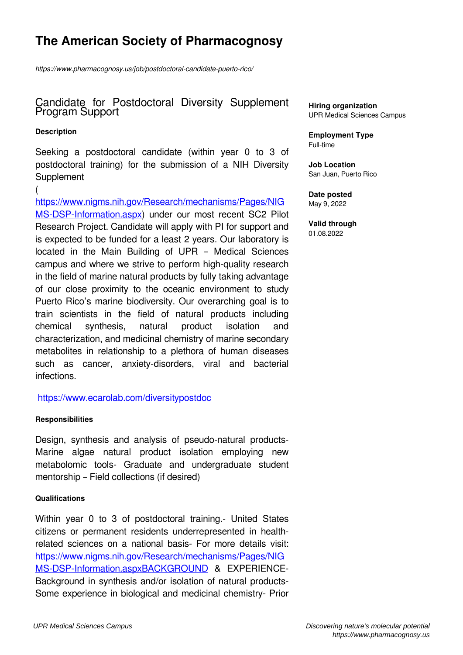# **The American Society of Pharmacognosy**

*https://www.pharmacognosy.us/job/postdoctoral-candidate-puerto-rico/*

### Candidate for Postdoctoral Diversity Supplement Program Support

#### **Description**

Seeking a postdoctoral candidate (within year 0 to 3 of postdoctoral training) for the submission of a NIH Diversity **Supplement** 

( [https://www.nigms.nih.gov/Research/mechanisms/Pages/NIG](https://www.nigms.nih.gov/Research/mechanisms/Pages/NIGMS-DSP-Information.aspx) [MS-DSP-Information.aspx](https://www.nigms.nih.gov/Research/mechanisms/Pages/NIGMS-DSP-Information.aspx)) under our most recent SC2 Pilot Research Project. Candidate will apply with PI for support and is expected to be funded for a least 2 years. Our laboratory is located in the Main Building of UPR – Medical Sciences campus and where we strive to perform high-quality research in the field of marine natural products by fully taking advantage of our close proximity to the oceanic environment to study Puerto Rico's marine biodiversity. Our overarching goal is to train scientists in the field of natural products including chemical synthesis, natural product isolation and characterization, and medicinal chemistry of marine secondary metabolites in relationship to a plethora of human diseases such as cancer, anxiety-disorders, viral and bacterial infections.

<https://www.ecarolab.com/diversitypostdoc>

#### **Responsibilities**

Design, synthesis and analysis of pseudo-natural products-Marine algae natural product isolation employing new metabolomic tools- Graduate and undergraduate student mentorship – Field collections (if desired)

#### **Qualifications**

Within year 0 to 3 of postdoctoral training.- United States citizens or permanent residents underrepresented in healthrelated sciences on a national basis- For more details visit: [https://www.nigms.nih.gov/Research/mechanisms/Pages/NIG](https://www.nigms.nih.gov/Research/mechanisms/Pages/NIGMS-DSP-Information.aspxBACKGROUND) [MS-DSP-Information.aspxBACKGROUND](https://www.nigms.nih.gov/Research/mechanisms/Pages/NIGMS-DSP-Information.aspxBACKGROUND) & EXPERIENCE-Background in synthesis and/or isolation of natural products-Some experience in biological and medicinal chemistry- Prior **Hiring organization** UPR Medical Sciences Campus

**Employment Type** Full-time

**Job Location** San Juan, Puerto Rico

**Date posted** May 9, 2022

**Valid through** 01.08.2022